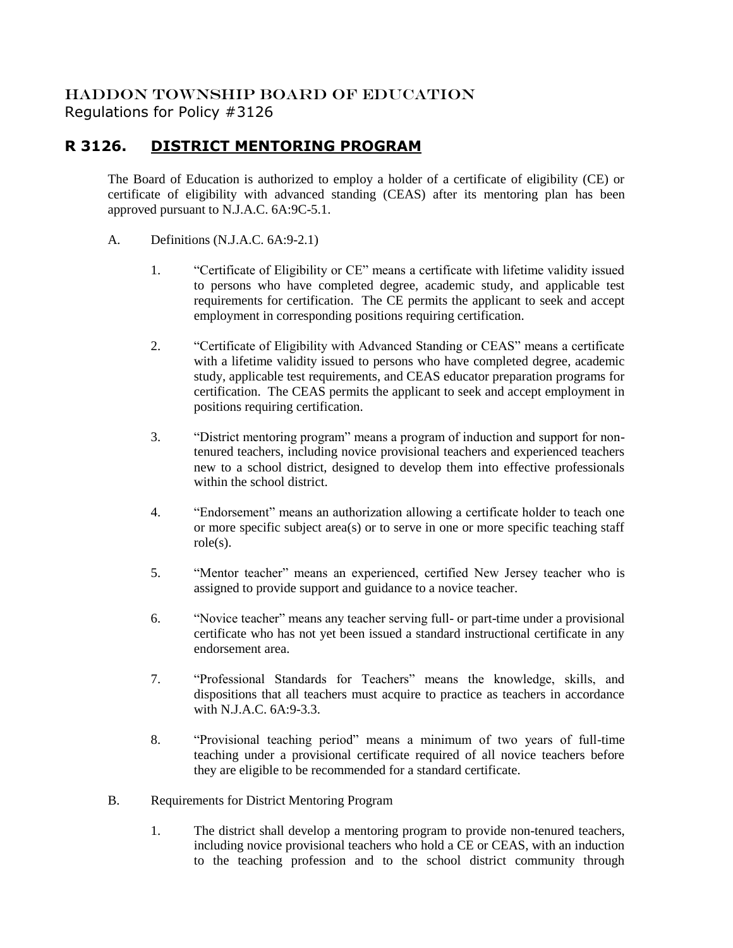## HADDON TOWNSHIP BOARD OF EDUCATION Regulations for Policy #3126

## **R 3126. DISTRICT MENTORING PROGRAM**

The Board of Education is authorized to employ a holder of a certificate of eligibility (CE) or certificate of eligibility with advanced standing (CEAS) after its mentoring plan has been approved pursuant to N.J.A.C. 6A:9C-5.1.

- A. Definitions (N.J.A.C. 6A:9-2.1)
	- 1. "Certificate of Eligibility or CE" means a certificate with lifetime validity issued to persons who have completed degree, academic study, and applicable test requirements for certification. The CE permits the applicant to seek and accept employment in corresponding positions requiring certification.
	- 2. "Certificate of Eligibility with Advanced Standing or CEAS" means a certificate with a lifetime validity issued to persons who have completed degree, academic study, applicable test requirements, and CEAS educator preparation programs for certification. The CEAS permits the applicant to seek and accept employment in positions requiring certification.
	- 3. "District mentoring program" means a program of induction and support for nontenured teachers, including novice provisional teachers and experienced teachers new to a school district, designed to develop them into effective professionals within the school district.
	- 4. "Endorsement" means an authorization allowing a certificate holder to teach one or more specific subject area(s) or to serve in one or more specific teaching staff role(s).
	- 5. "Mentor teacher" means an experienced, certified New Jersey teacher who is assigned to provide support and guidance to a novice teacher.
	- 6. "Novice teacher" means any teacher serving full- or part-time under a provisional certificate who has not yet been issued a standard instructional certificate in any endorsement area.
	- 7. "Professional Standards for Teachers" means the knowledge, skills, and dispositions that all teachers must acquire to practice as teachers in accordance with N.J.A.C. 6A:9-3.3.
	- 8. "Provisional teaching period" means a minimum of two years of full-time teaching under a provisional certificate required of all novice teachers before they are eligible to be recommended for a standard certificate.
- B. Requirements for District Mentoring Program
	- 1. The district shall develop a mentoring program to provide non-tenured teachers, including novice provisional teachers who hold a CE or CEAS, with an induction to the teaching profession and to the school district community through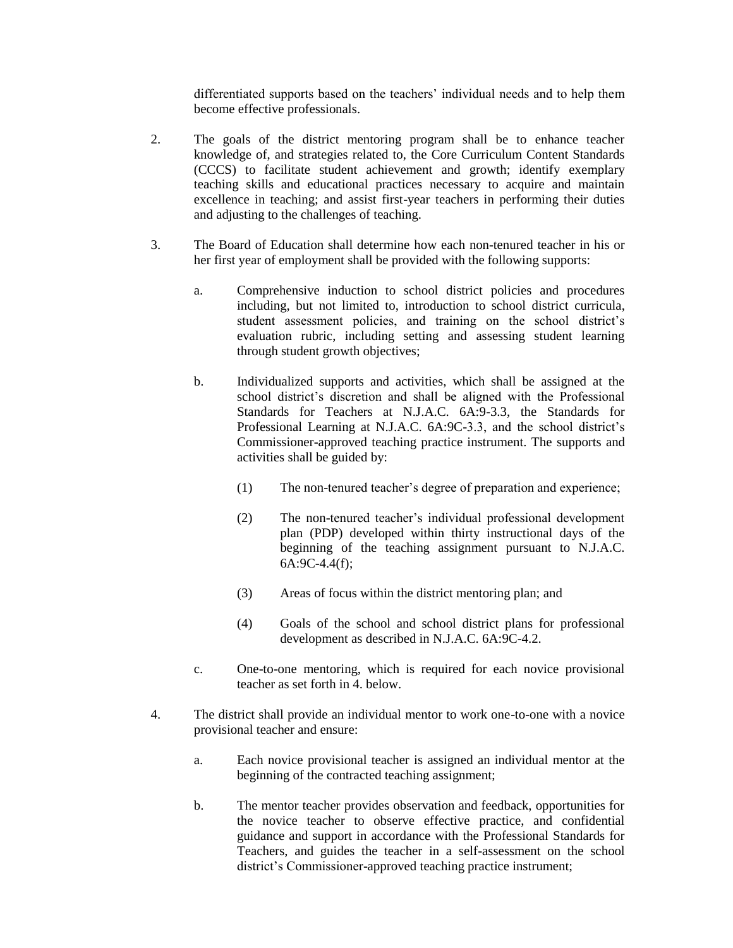differentiated supports based on the teachers' individual needs and to help them become effective professionals.

- 2. The goals of the district mentoring program shall be to enhance teacher knowledge of, and strategies related to, the Core Curriculum Content Standards (CCCS) to facilitate student achievement and growth; identify exemplary teaching skills and educational practices necessary to acquire and maintain excellence in teaching; and assist first-year teachers in performing their duties and adjusting to the challenges of teaching.
- 3. The Board of Education shall determine how each non-tenured teacher in his or her first year of employment shall be provided with the following supports:
	- a. Comprehensive induction to school district policies and procedures including, but not limited to, introduction to school district curricula, student assessment policies, and training on the school district's evaluation rubric, including setting and assessing student learning through student growth objectives;
	- b. Individualized supports and activities, which shall be assigned at the school district's discretion and shall be aligned with the Professional Standards for Teachers at N.J.A.C. 6A:9-3.3, the Standards for Professional Learning at N.J.A.C. 6A:9C-3.3, and the school district's Commissioner-approved teaching practice instrument. The supports and activities shall be guided by:
		- (1) The non-tenured teacher's degree of preparation and experience;
		- (2) The non-tenured teacher's individual professional development plan (PDP) developed within thirty instructional days of the beginning of the teaching assignment pursuant to N.J.A.C. 6A:9C-4.4(f);
		- (3) Areas of focus within the district mentoring plan; and
		- (4) Goals of the school and school district plans for professional development as described in N.J.A.C. 6A:9C-4.2.
	- c. One-to-one mentoring, which is required for each novice provisional teacher as set forth in 4. below.
- 4. The district shall provide an individual mentor to work one-to-one with a novice provisional teacher and ensure:
	- a. Each novice provisional teacher is assigned an individual mentor at the beginning of the contracted teaching assignment;
	- b. The mentor teacher provides observation and feedback, opportunities for the novice teacher to observe effective practice, and confidential guidance and support in accordance with the Professional Standards for Teachers, and guides the teacher in a self-assessment on the school district's Commissioner-approved teaching practice instrument;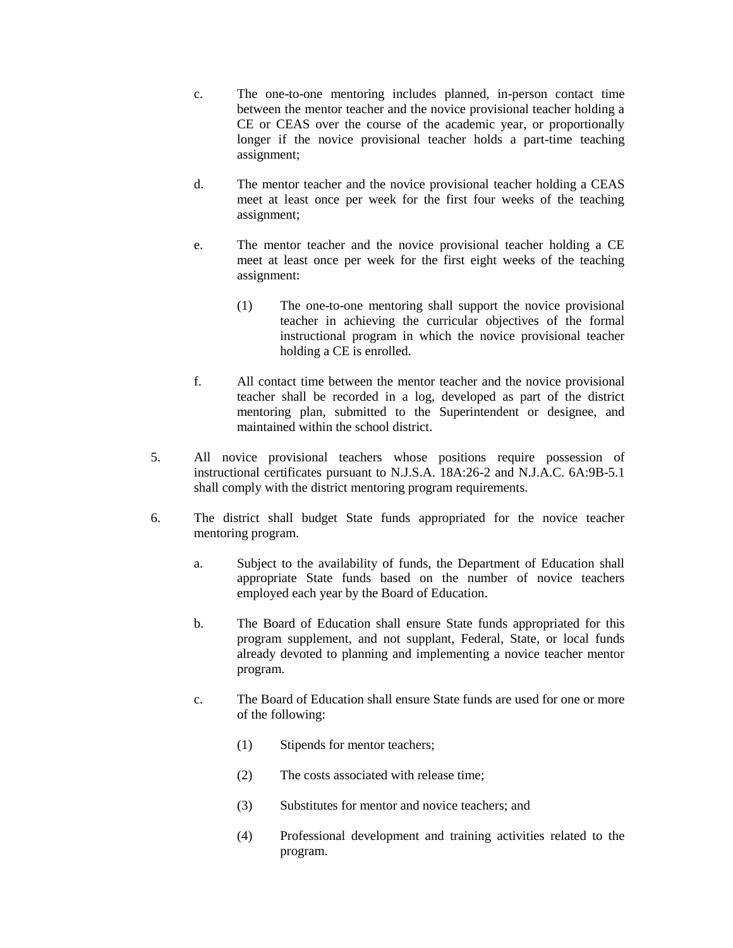- c. The one-to-one mentoring includes planned, in-person contact time between the mentor teacher and the novice provisional teacher holding a CE or CEAS over the course of the academic year, or proportionally longer if the novice provisional teacher holds a part-time teaching assignment;
- d. The mentor teacher and the novice provisional teacher holding a CEAS meet at least once per week for the first four weeks of the teaching assignment;
- e. The mentor teacher and the novice provisional teacher holding a CE meet at least once per week for the first eight weeks of the teaching assignment:
	- (1) The one-to-one mentoring shall support the novice provisional teacher in achieving the curricular objectives of the formal instructional program in which the novice provisional teacher holding a CE is enrolled.
- f. All contact time between the mentor teacher and the novice provisional teacher shall be recorded in a log, developed as part of the district mentoring plan, submitted to the Superintendent or designee, and maintained within the school district.
- 5. All novice provisional teachers whose positions require possession of instructional certificates pursuant to N.J.S.A. 18A:26-2 and N.J.A.C. 6A:9B-5.1 shall comply with the district mentoring program requirements.
- 6. The district shall budget State funds appropriated for the novice teacher mentoring program.
	- a. Subject to the availability of funds, the Department of Education shall appropriate State funds based on the number of novice teachers employed each year by the Board of Education.
	- b. The Board of Education shall ensure State funds appropriated for this program supplement, and not supplant, Federal, State, or local funds already devoted to planning and implementing a novice teacher mentor program.
	- c. The Board of Education shall ensure State funds are used for one or more of the following:
		- (1) Stipends for mentor teachers;
		- (2) The costs associated with release time;
		- (3) Substitutes for mentor and novice teachers; and
		- (4) Professional development and training activities related to the program.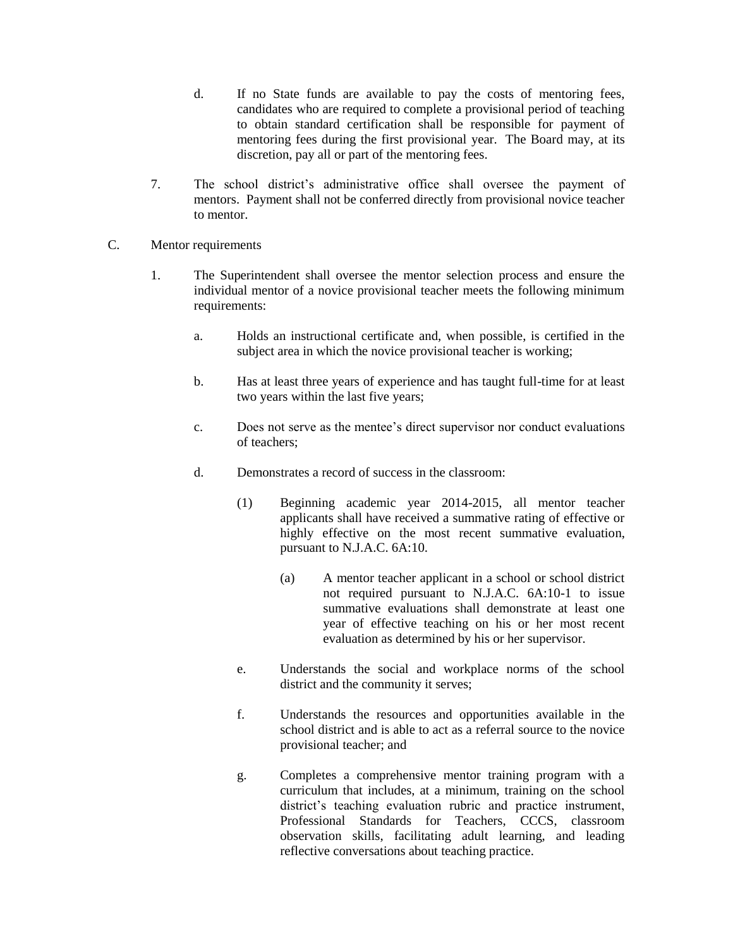- d. If no State funds are available to pay the costs of mentoring fees, candidates who are required to complete a provisional period of teaching to obtain standard certification shall be responsible for payment of mentoring fees during the first provisional year. The Board may, at its discretion, pay all or part of the mentoring fees.
- 7. The school district's administrative office shall oversee the payment of mentors. Payment shall not be conferred directly from provisional novice teacher to mentor.
- C. Mentor requirements
	- 1. The Superintendent shall oversee the mentor selection process and ensure the individual mentor of a novice provisional teacher meets the following minimum requirements:
		- a. Holds an instructional certificate and, when possible, is certified in the subject area in which the novice provisional teacher is working;
		- b. Has at least three years of experience and has taught full-time for at least two years within the last five years;
		- c. Does not serve as the mentee's direct supervisor nor conduct evaluations of teachers;
		- d. Demonstrates a record of success in the classroom:
			- (1) Beginning academic year 2014-2015, all mentor teacher applicants shall have received a summative rating of effective or highly effective on the most recent summative evaluation, pursuant to N.J.A.C. 6A:10.
				- (a) A mentor teacher applicant in a school or school district not required pursuant to N.J.A.C. 6A:10-1 to issue summative evaluations shall demonstrate at least one year of effective teaching on his or her most recent evaluation as determined by his or her supervisor.
			- e. Understands the social and workplace norms of the school district and the community it serves;
			- f. Understands the resources and opportunities available in the school district and is able to act as a referral source to the novice provisional teacher; and
			- g. Completes a comprehensive mentor training program with a curriculum that includes, at a minimum, training on the school district's teaching evaluation rubric and practice instrument, Professional Standards for Teachers, CCCS, classroom observation skills, facilitating adult learning, and leading reflective conversations about teaching practice.